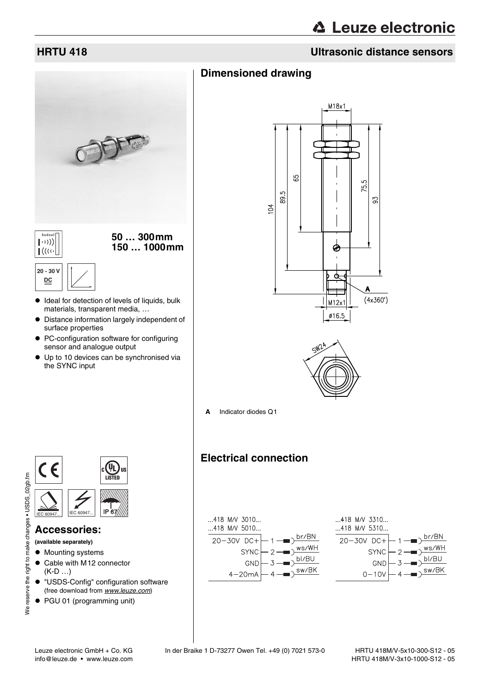#### **HRTU 418 Ultrasonic distance sensors**

## **Dimensioned drawing**



- $\bullet$  Distance information largely independent of surface properties
- PC-configuration software for configuring sensor and analogue output
- Up to 10 devices can be synchronised via the SYNC input





**A** Indicator diodes Q1

#### **Electrical connection**







#### **Accessories:**

**(available separately)**

- Mounting systems
- Cable with M12 connector (K-D …)
- $\bullet$  "USDS-Config" configuration software (free download from www.leuze.com)
- PGU 01 (programming unit)